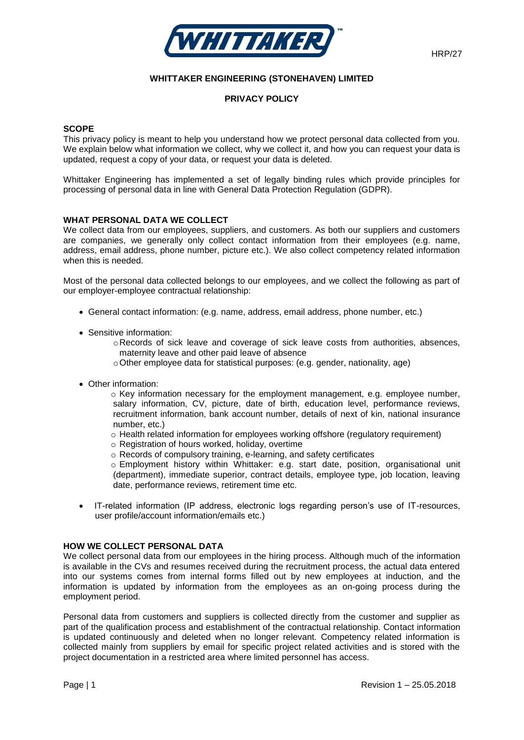

# **WHITTAKER ENGINEERING (STONEHAVEN) LIMITED**

### **PRIVACY POLICY**

#### **SCOPE**

This privacy policy is meant to help you understand how we protect personal data collected from you. We explain below what information we collect, why we collect it, and how you can request your data is updated, request a copy of your data, or request your data is deleted.

Whittaker Engineering has implemented a set of legally binding rules which provide principles for processing of personal data in line with General Data Protection Regulation (GDPR).

#### **WHAT PERSONAL DATA WE COLLECT**

We collect data from our employees, suppliers, and customers. As both our suppliers and customers are companies, we generally only collect contact information from their employees (e.g. name, address, email address, phone number, picture etc.). We also collect competency related information when this is needed.

Most of the personal data collected belongs to our employees, and we collect the following as part of our employer-employee contractual relationship:

- General contact information: (e.g. name, address, email address, phone number, etc.)
- Sensitive information:
	- $\circ$  Records of sick leave and coverage of sick leave costs from authorities, absences, maternity leave and other paid leave of absence
	- oOther employee data for statistical purposes: (e.g. gender, nationality, age)
- Other information:
	- $\circ$  Key information necessary for the employment management, e.g. employee number, salary information, CV, picture, date of birth, education level, performance reviews, recruitment information, bank account number, details of next of kin, national insurance number, etc.)
	- $\circ$  Health related information for employees working offshore (requiatory requirement)
	- o Registration of hours worked, holiday, overtime
	- o Records of compulsory training, e-learning, and safety certificates

o Employment history within Whittaker: e.g. start date, position, organisational unit (department), immediate superior, contract details, employee type, job location, leaving date, performance reviews, retirement time etc.

• IT-related information (IP address, electronic logs regarding person's use of IT-resources, user profile/account information/emails etc.)

### **HOW WE COLLECT PERSONAL DATA**

We collect personal data from our employees in the hiring process. Although much of the information is available in the CVs and resumes received during the recruitment process, the actual data entered into our systems comes from internal forms filled out by new employees at induction, and the information is updated by information from the employees as an on-going process during the employment period.

Personal data from customers and suppliers is collected directly from the customer and supplier as part of the qualification process and establishment of the contractual relationship. Contact information is updated continuously and deleted when no longer relevant. Competency related information is collected mainly from suppliers by email for specific project related activities and is stored with the project documentation in a restricted area where limited personnel has access.